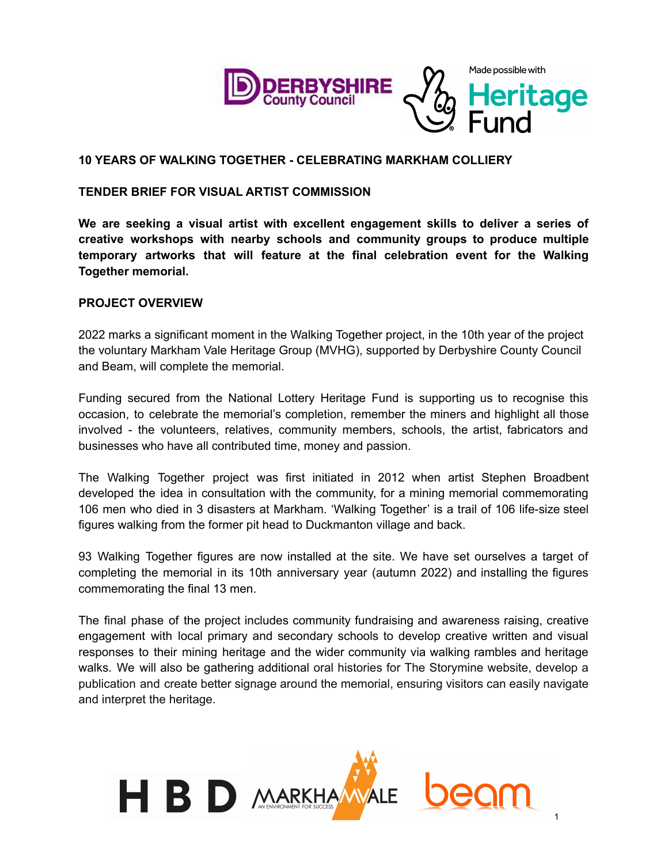

#### **10 YEARS OF WALKING TOGETHER - CELEBRATING MARKHAM COLLIERY**

#### **TENDER BRIEF FOR VISUAL ARTIST COMMISSION**

**We are seeking a visual artist with excellent engagement skills to deliver a series of creative workshops with nearby schools and community groups to produce multiple temporary artworks that will feature at the final celebration event for the Walking Together memorial.**

#### **PROJECT OVERVIEW**

2022 marks a significant moment in the Walking Together project, in the 10th year of the project the voluntary Markham Vale Heritage Group (MVHG), supported by Derbyshire County Council and Beam, will complete the memorial.

Funding secured from the National Lottery Heritage Fund is supporting us to recognise this occasion, to celebrate the memorial's completion, remember the miners and highlight all those involved - the volunteers, relatives, community members, schools, the artist, fabricators and businesses who have all contributed time, money and passion.

The Walking Together project was first initiated in 2012 when artist Stephen Broadbent developed the idea in consultation with the community, for a mining memorial commemorating 106 men who died in 3 disasters at Markham. 'Walking Together' is a trail of 106 life-size steel figures walking from the former pit head to Duckmanton village and back.

93 Walking Together figures are now installed at the site. We have set ourselves a target of completing the memorial in its 10th anniversary year (autumn 2022) and installing the figures commemorating the final 13 men.

The final phase of the project includes community fundraising and awareness raising, creative engagement with local primary and secondary schools to develop creative written and visual responses to their mining heritage and the wider community via walking rambles and heritage walks. We will also be gathering additional oral histories for The Storymine website, develop a publication and create better signage around the memorial, ensuring visitors can easily navigate and interpret the heritage.

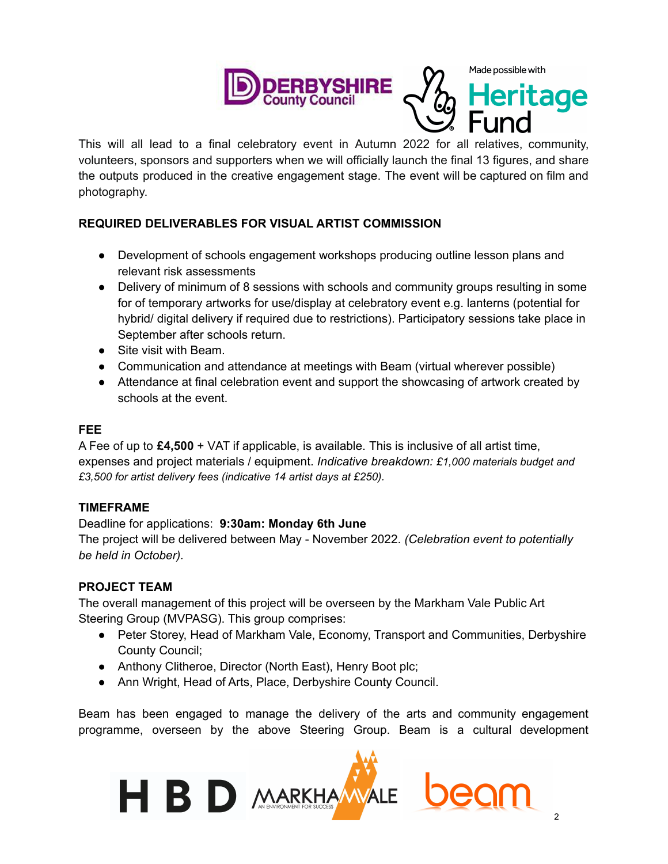



This will all lead to a final celebratory event in Autumn 2022 for all relatives, community, volunteers, sponsors and supporters when we will officially launch the final 13 figures, and share the outputs produced in the creative engagement stage. The event will be captured on film and photography.

# **REQUIRED DELIVERABLES FOR VISUAL ARTIST COMMISSION**

- Development of schools engagement workshops producing outline lesson plans and relevant risk assessments
- Delivery of minimum of 8 sessions with schools and community groups resulting in some for of temporary artworks for use/display at celebratory event e.g. lanterns (potential for hybrid/ digital delivery if required due to restrictions). Participatory sessions take place in September after schools return.
- Site visit with Beam.
- Communication and attendance at meetings with Beam (virtual wherever possible)
- Attendance at final celebration event and support the showcasing of artwork created by schools at the event.

# **FEE**

A Fee of up to **£4,500** + VAT if applicable, is available. This is inclusive of all artist time, expenses and project materials / equipment. *Indicative breakdown: £1,000 materials budget and £3,500 for artist delivery fees (indicative 14 artist days at £250).*

## **TIMEFRAME**

## Deadline for applications: **9:30am: Monday 6th June**

The project will be delivered between May - November 2022. *(Celebration event to potentially be held in October).*

## **PROJECT TEAM**

The overall management of this project will be overseen by the Markham Vale Public Art Steering Group (MVPASG). This group comprises:

- Peter Storey, Head of Markham Vale, Economy, Transport and Communities, Derbyshire County Council;
- Anthony Clitheroe, Director (North East), Henry Boot plc;
- Ann Wright, Head of Arts, Place, Derbyshire County Council.

Beam has been engaged to manage the delivery of the arts and community engagement programme, overseen by the above Steering Group. Beam is a cultural development

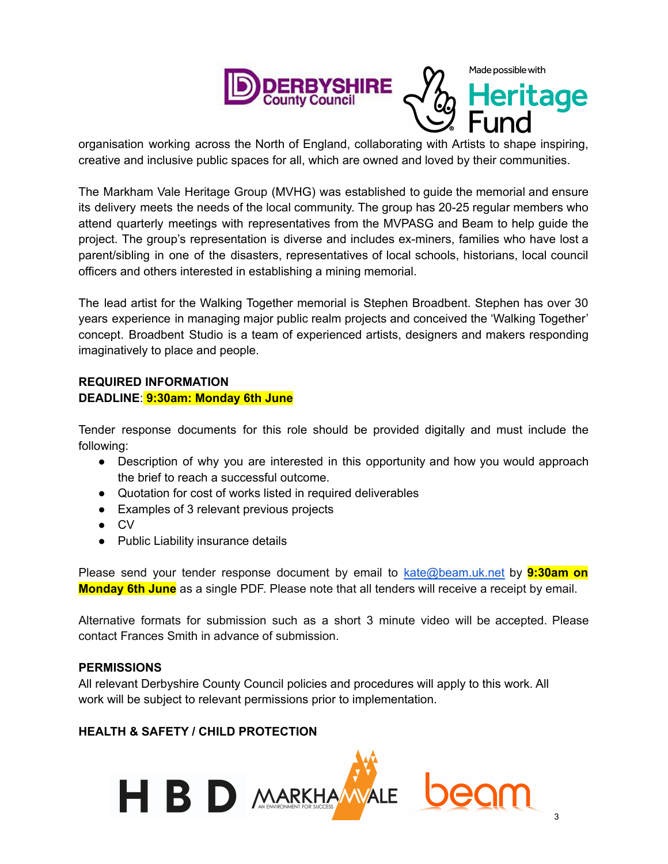

organisation working across the North of England, collaborating with Artists to shape inspiring, creative and inclusive public spaces for all, which are owned and loved by their communities.

The Markham Vale Heritage Group (MVHG) was established to guide the memorial and ensure its delivery meets the needs of the local community. The group has 20-25 regular members who attend quarterly meetings with representatives from the MVPASG and Beam to help guide the project. The group's representation is diverse and includes ex-miners, families who have lost a parent/sibling in one of the disasters, representatives of local schools, historians, local council officers and others interested in establishing a mining memorial.

The lead artist for the Walking Together memorial is Stephen Broadbent. Stephen has over 30 years experience in managing major public realm projects and conceived the 'Walking Together' concept. Broadbent Studio is a team of experienced artists, designers and makers responding imaginatively to place and people.

## **REQUIRED INFORMATION DEADLINE**: **9:30am: Monday 6th June**

Tender response documents for this role should be provided digitally and must include the following:

- Description of why you are interested in this opportunity and how you would approach the brief to reach a successful outcome.
- Quotation for cost of works listed in required deliverables
- Examples of 3 relevant previous projects
- CV
- Public Liability insurance details

Please send your tender response document by email to [kate@beam.uk.net](mailto:kate@beam.uk.net) by **9:30am on Monday 6th June** as a single PDF. Please note that all tenders will receive a receipt by email.

Alternative formats for submission such as a short 3 minute video will be accepted. Please contact Frances Smith in advance of submission.

### **PERMISSIONS**

All relevant Derbyshire County Council policies and procedures will apply to this work. All work will be subject to relevant permissions prior to implementation.

### **HEALTH & SAFETY / CHILD PROTECTION**